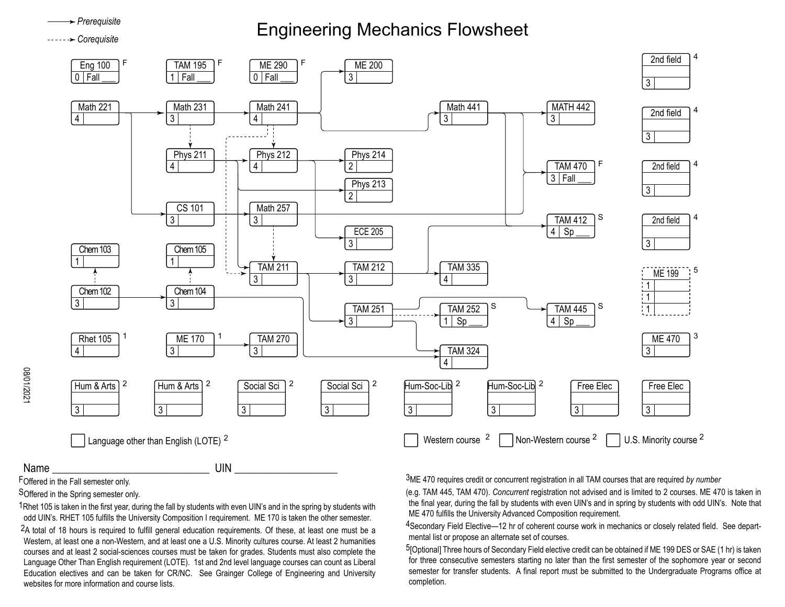## Engineering Mechanics Flowsheet *Prerequisite Corequisite*



08/01/2021

FOffered in the Fall semester only.

SOffered in the Spring semester only.

1Rhet 105 is taken in the first year, during the fall by students with even UIN's and in the spring by students with odd UIN's. RHET 105 fulfills the University Composition I requirement. ME 170 is taken the other semester.

2A total of 18 hours is required to fulfill general education requirements. Of these, at least one must be a Western, at least one a non-Western, and at least one a U.S. Minority cultures course. At least 2 humanities courses and at least 2 social-sciences courses must be taken for grades. Students must also complete the Language Other Than English requirement (LOTE). 1st and 2nd level language courses can count as Liberal Education electives and can be taken for CR/NC. See Grainger College of Engineering and University websites for more information and course lists.

3ME 470 requires credit or concurrent registration in all TAM courses that are required *by number*

(e.g. TAM 445, TAM 470). *Concurrent* registration not advised and is limited to 2 courses. ME 470 is taken in the final year, during the fall by students with even UIN's and in spring by students with odd UIN's. Note that ME 470 fulfills the University Advanced Composition requirement.

4Secondary Field Elective—12 hr of coherent course work in mechanics or closely related field. See departmental list or propose an alternate set of courses.

5[Optional] Three hours of Secondary Field elective credit can be obtained if ME 199 DES or SAE (1 hr) is taken for three consecutive semesters starting no later than the first semester of the sophomore year or second semester for transfer students. A final report must be submitted to the Undergraduate Programs office at completion.